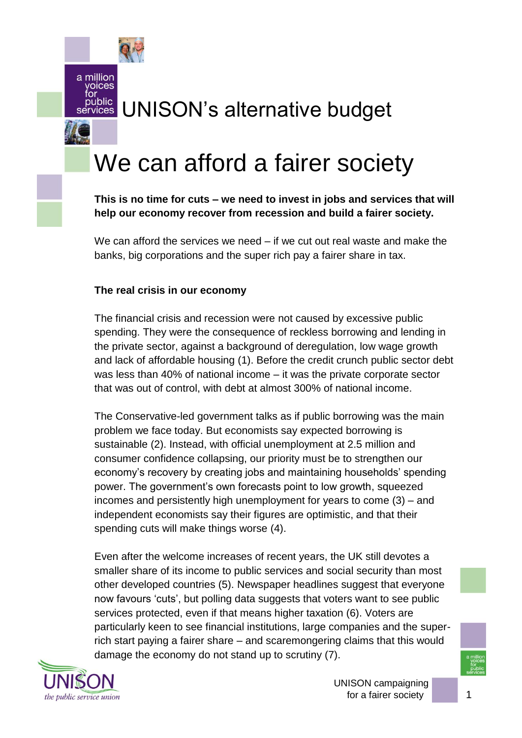a million voices for

public

## UNISON"s alternative budget vices

# We can afford a fairer society

**This is no time for cuts – we need to invest in jobs and services that will help our economy recover from recession and build a fairer society.** 

We can afford the services we need – if we cut out real waste and make the banks, big corporations and the super rich pay a fairer share in tax.

## **The real crisis in our economy**

The financial crisis and recession were not caused by excessive public spending. They were the consequence of reckless borrowing and lending in the private sector, against a background of deregulation, low wage growth and lack of affordable housing (1). Before the credit crunch public sector debt was less than 40% of national income – it was the private corporate sector that was out of control, with debt at almost 300% of national income.

The Conservative-led government talks as if public borrowing was the main problem we face today. But economists say expected borrowing is sustainable (2). Instead, with official unemployment at 2.5 million and consumer confidence collapsing, our priority must be to strengthen our economy"s recovery by creating jobs and maintaining households" spending power. The government"s own forecasts point to low growth, squeezed incomes and persistently high unemployment for years to come (3) – and independent economists say their figures are optimistic, and that their spending cuts will make things worse (4).

Even after the welcome increases of recent years, the UK still devotes a smaller share of its income to public services and social security than most other developed countries (5). Newspaper headlines suggest that everyone now favours 'cuts', but polling data suggests that voters want to see public services protected, even if that means higher taxation (6). Voters are particularly keen to see financial institutions, large companies and the superrich start paying a fairer share – and scaremongering claims that this would damage the economy do not stand up to scrutiny (7).

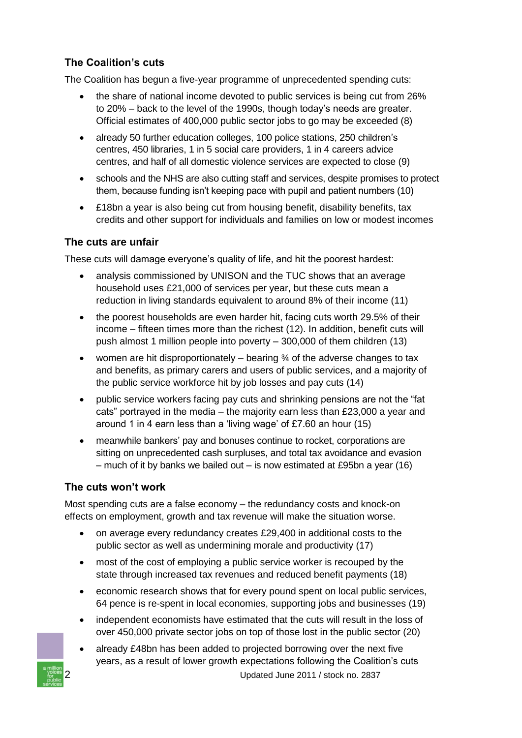## **The Coalition's cuts**

The Coalition has begun a five-year programme of unprecedented spending cuts:

- the share of national income devoted to public services is being cut from 26% to 20% – back to the level of the 1990s, though today"s needs are greater. Official estimates of 400,000 public sector jobs to go may be exceeded (8)
- already 50 further education colleges, 100 police stations, 250 children's centres, 450 libraries, 1 in 5 social care providers, 1 in 4 careers advice centres, and half of all domestic violence services are expected to close (9)
- schools and the NHS are also cutting staff and services, despite promises to protect them, because funding isn"t keeping pace with pupil and patient numbers (10)
- £18bn a year is also being cut from housing benefit, disability benefits, tax credits and other support for individuals and families on low or modest incomes

## **The cuts are unfair**

These cuts will damage everyone's quality of life, and hit the poorest hardest:

- analysis commissioned by UNISON and the TUC shows that an average household uses £21,000 of services per year, but these cuts mean a reduction in living standards equivalent to around 8% of their income (11)
- the poorest households are even harder hit, facing cuts worth 29.5% of their income – fifteen times more than the richest (12). In addition, benefit cuts will push almost 1 million people into poverty – 300,000 of them children (13)
- women are hit disproportionately  $-$  bearing  $\frac{3}{4}$  of the adverse changes to tax and benefits, as primary carers and users of public services, and a majority of the public service workforce hit by job losses and pay cuts (14)
- public service workers facing pay cuts and shrinking pensions are not the "fat cats" portrayed in the media – the majority earn less than £23,000 a year and around 1 in 4 earn less than a "living wage" of £7.60 an hour (15)
- meanwhile bankers" pay and bonuses continue to rocket, corporations are sitting on unprecedented cash surpluses, and total tax avoidance and evasion – much of it by banks we bailed out – is now estimated at £95bn a year (16)

## **The cuts won't work**

Most spending cuts are a false economy – the redundancy costs and knock-on effects on employment, growth and tax revenue will make the situation worse.

- on average every redundancy creates £29,400 in additional costs to the public sector as well as undermining morale and productivity (17)
- most of the cost of employing a public service worker is recouped by the state through increased tax revenues and reduced benefit payments (18)
- economic research shows that for every pound spent on local public services, 64 pence is re-spent in local economies, supporting jobs and businesses (19)
- independent economists have estimated that the cuts will result in the loss of over 450,000 private sector jobs on top of those lost in the public sector (20)
- 2 Updated June 2011 / stock no. 2837 • already £48bn has been added to projected borrowing over the next five years, as a result of lower growth expectations following the Coalition"s cuts

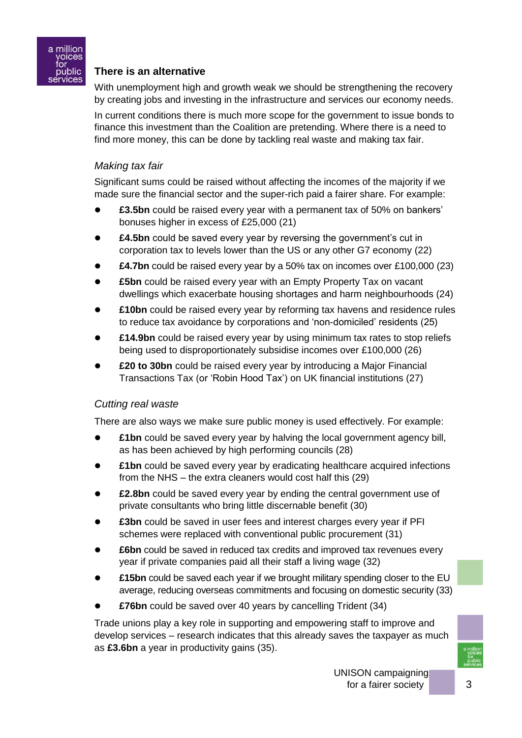

## **There is an alternative**

With unemployment high and growth weak we should be strengthening the recovery by creating jobs and investing in the infrastructure and services our economy needs.

In current conditions there is much more scope for the government to issue bonds to finance this investment than the Coalition are pretending. Where there is a need to find more money, this can be done by tackling real waste and making tax fair.

#### *Making tax fair*

Significant sums could be raised without affecting the incomes of the majority if we made sure the financial sector and the super-rich paid a fairer share. For example:

- **£3.5bn** could be raised every year with a permanent tax of 50% on bankers" bonuses higher in excess of £25,000 (21)
- **£4.5bn** could be saved every year by reversing the government's cut in corporation tax to levels lower than the US or any other G7 economy (22)
- **£4.7bn** could be raised every year by a 50% tax on incomes over £100,000 (23)
- **£5bn** could be raised every year with an Empty Property Tax on vacant dwellings which exacerbate housing shortages and harm neighbourhoods (24)
- **£10bn** could be raised every year by reforming tax havens and residence rules to reduce tax avoidance by corporations and "non-domiciled" residents (25)
- **£14.9bn** could be raised every year by using minimum tax rates to stop reliefs being used to disproportionately subsidise incomes over £100,000 (26)
- **£20 to 30bn** could be raised every year by introducing a Major Financial Transactions Tax (or "Robin Hood Tax") on UK financial institutions (27)

#### *Cutting real waste*

There are also ways we make sure public money is used effectively. For example:

- **£1bn** could be saved every year by halving the local government agency bill, as has been achieved by high performing councils (28)
- **£1bn** could be saved every year by eradicating healthcare acquired infections from the NHS – the extra cleaners would cost half this (29)
- **£2.8bn** could be saved every year by ending the central government use of private consultants who bring little discernable benefit (30)
- **£3bn** could be saved in user fees and interest charges every year if PFI schemes were replaced with conventional public procurement (31)
- **£6bn** could be saved in reduced tax credits and improved tax revenues every year if private companies paid all their staff a living wage (32)
- **£15bn** could be saved each year if we brought military spending closer to the EU average, reducing overseas commitments and focusing on domestic security (33)
- **£76bn** could be saved over 40 years by cancelling Trident (34)

Trade unions play a key role in supporting and empowering staff to improve and develop services – research indicates that this already saves the taxpayer as much as **£3.6bn** a year in productivity gains (35).